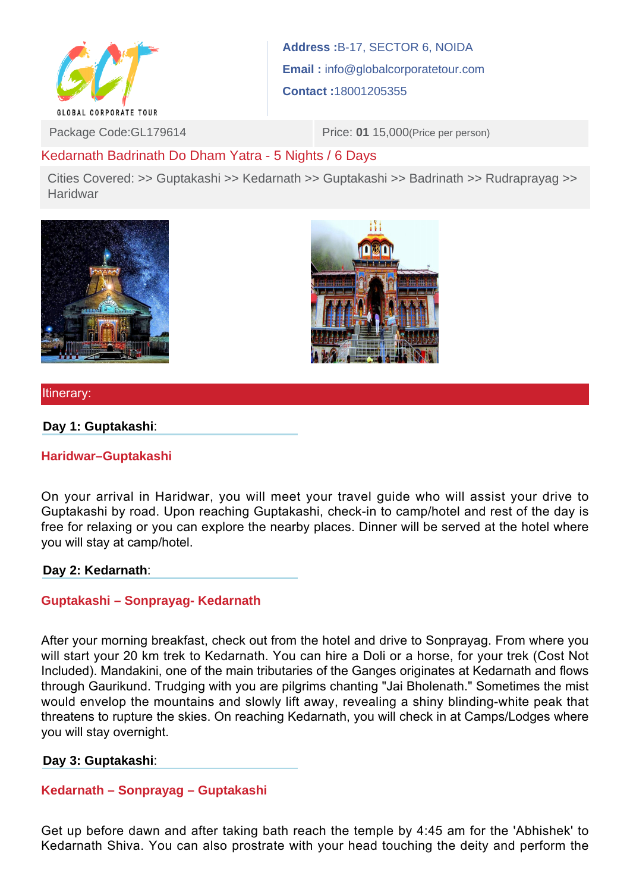

**Address :**B-17, SECTOR 6, NOIDA **Email :** info@globalcorporatetour.com **Contact :**18001205355

Package Code:GL179614 Price: **01** 15,000 (Price per person)

# Kedarnath Badrinath Do Dham Yatra - 5 Nights / 6 Days

Cities Covered: >> Guptakashi >> Kedarnath >> Guptakashi >> Badrinath >> Rudraprayag >> Haridwar





Itinerary:

**Day 1: Guptakashi**:

**Haridwar–Guptakashi**

On your arrival in Haridwar, you will meet your travel guide who will assist your drive to Guptakashi by road. Upon reaching Guptakashi, check-in to camp/hotel and rest of the day is free for relaxing or you can explore the nearby places. Dinner will be served at the hotel where you will stay at camp/hotel.

#### **Day 2: Kedarnath**:

# **Guptakashi – Sonprayag- Kedarnath**

After your morning breakfast, check out from the hotel and drive to Sonprayag. From where you will start your 20 km trek to Kedarnath. You can hire a Doli or a horse, for your trek (Cost Not Included). Mandakini, one of the main tributaries of the Ganges originates at Kedarnath and flows through Gaurikund. Trudging with you are pilgrims chanting "Jai Bholenath." Sometimes the mist would envelop the mountains and slowly lift away, revealing a shiny blinding-white peak that threatens to rupture the skies. On reaching Kedarnath, you will check in at Camps/Lodges where you will stay overnight.

# **Day 3: Guptakashi**:

# **Kedarnath – Sonprayag – Guptakashi**

Get up before dawn and after taking bath reach the temple by 4:45 am for the 'Abhishek' to Kedarnath Shiva. You can also prostrate with your head touching the deity and perform the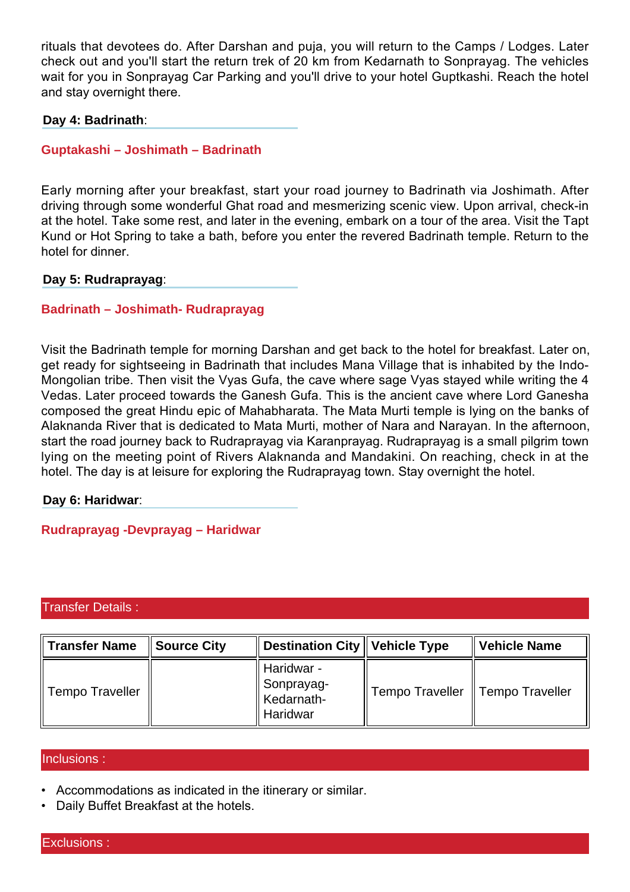rituals that devotees do. After Darshan and puja, you will return to the Camps / Lodges. Later check out and you'll start the return trek of 20 km from Kedarnath to Sonprayag. The vehicles wait for you in Sonprayag Car Parking and you'll drive to your hotel Guptkashi. Reach the hotel and stay overnight there.

### **Day 4: Badrinath**:

### **Guptakashi – Joshimath – Badrinath**

Early morning after your breakfast, start your road journey to Badrinath via Joshimath. After driving through some wonderful Ghat road and mesmerizing scenic view. Upon arrival, check-in at the hotel. Take some rest, and later in the evening, embark on a tour of the area. Visit the Tapt Kund or Hot Spring to take a bath, before you enter the revered Badrinath temple. Return to the hotel for dinner.

### **Day 5: Rudraprayag**:

# **Badrinath – Joshimath- Rudraprayag**

Visit the Badrinath temple for morning Darshan and get back to the hotel for breakfast. Later on, get ready for sightseeing in Badrinath that includes Mana Village that is inhabited by the Indo-Mongolian tribe. Then visit the Vyas Gufa, the cave where sage Vyas stayed while writing the 4 Vedas. Later proceed towards the Ganesh Gufa. This is the ancient cave where Lord Ganesha composed the great Hindu epic of Mahabharata. The Mata Murti temple is lying on the banks of Alaknanda River that is dedicated to Mata Murti, mother of Nara and Narayan. In the afternoon, start the road journey back to Rudraprayag via Karanprayag. Rudraprayag is a small pilgrim town lying on the meeting point of Rivers Alaknanda and Mandakini. On reaching, check in at the hotel. The day is at leisure for exploring the Rudraprayag town. Stay overnight the hotel.

#### **Day 6: Haridwar**:

**Rudraprayag -Devprayag – Haridwar**

#### Transfer Details :

| ∥Transfer Name  | $\parallel$ Source City | $\parallel$ Destination City $\parallel$ Vehicle Type |                                    | ∥ Vehicle Name |
|-----------------|-------------------------|-------------------------------------------------------|------------------------------------|----------------|
| Tempo Traveller |                         | Haridwar -<br>  Sonprayag-<br>Kedarnath-<br>Haridwar  | Tempo Traveller    Tempo Traveller |                |

#### Inclusions :

- Accommodations as indicated in the itinerary or similar.
- Daily Buffet Breakfast at the hotels.